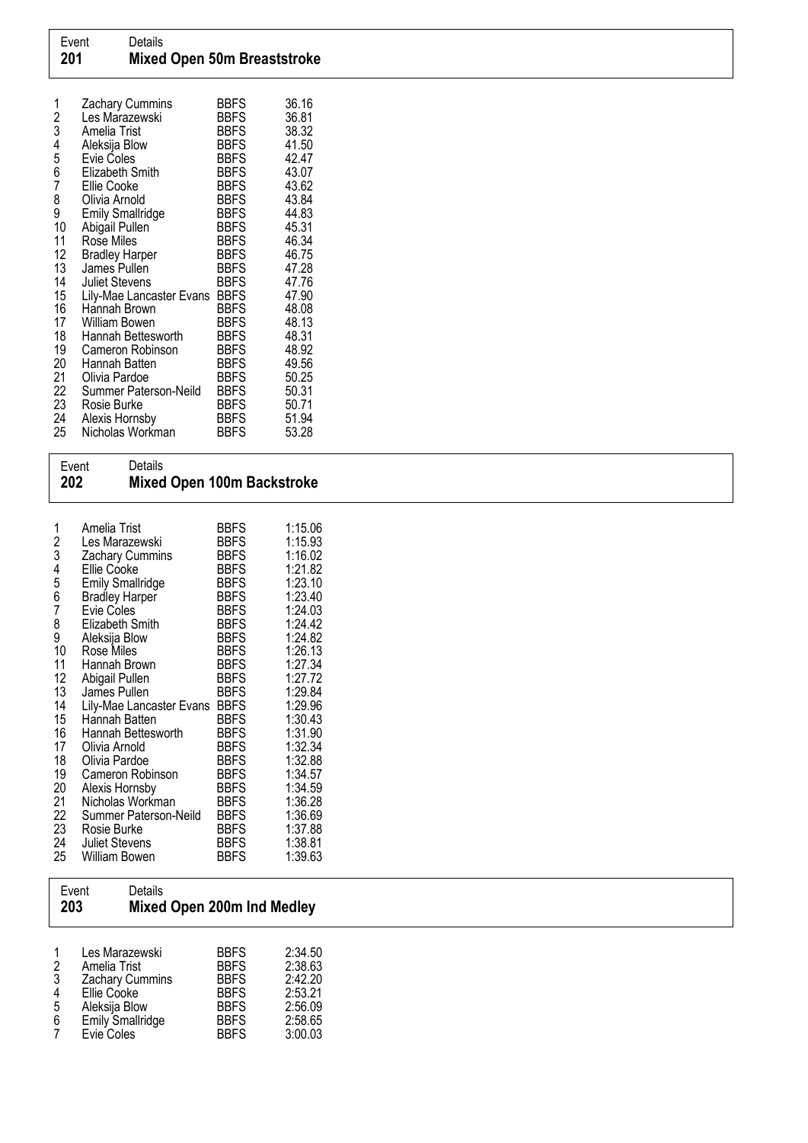| 1<br>$\overline{c}$<br>3 | Zachary Cummins<br>Les Marazewski<br>Amelia Trist | <b>BBFS</b><br><b>BBFS</b><br><b>BBFS</b> | 36.16<br>36.81<br>38.32 |
|--------------------------|---------------------------------------------------|-------------------------------------------|-------------------------|
| 4<br>5                   | Aleksija Blow<br><b>Evie Coles</b>                | <b>BBFS</b><br><b>BBFS</b>                | 41.50<br>42.47          |
| 6                        | Elizabeth Smith                                   | <b>BBFS</b>                               | 43.07                   |
| 7                        | Ellie Cooke                                       | <b>BBFS</b>                               | 43.62                   |
| 8                        | Olivia Arnold                                     | <b>BBFS</b>                               | 43.84                   |
| 9                        | <b>Emily Smallridge</b>                           | <b>BBFS</b>                               | 44.83                   |
| 10                       | Abigail Pullen                                    | <b>BBFS</b>                               | 45.31                   |
| 11<br>12                 | Rose Miles<br><b>Bradley Harper</b>               | <b>BBFS</b><br><b>BBFS</b>                | 46.34<br>46.75          |
| 13                       | James Pullen                                      | <b>BBFS</b>                               | 47.28                   |
| 14                       | <b>Juliet Stevens</b>                             | <b>BBFS</b>                               | 47.76                   |
| 15                       | Lily-Mae Lancaster Evans                          | <b>BBFS</b>                               | 47.90                   |
| 16                       | Hannah Brown                                      | <b>BBFS</b>                               | 48.08                   |
| 17                       | William Bowen                                     | <b>BBFS</b>                               | 48.13                   |
| 18                       | Hannah Bettesworth                                | <b>BBFS</b>                               | 48.31                   |
| 19<br>20                 | Cameron Robinson<br>Hannah Batten                 | <b>BBFS</b><br><b>BBFS</b>                | 48.92<br>49.56          |
| 21                       | Olivia Pardoe                                     | <b>BBFS</b>                               | 50.25                   |
| 22                       | Summer Paterson-Neild                             | <b>BBFS</b>                               | 50.31                   |
| 23                       | Rosie Burke                                       | <b>BBFS</b>                               | 50.71                   |
| 24                       | Alexis Hornsby                                    | <b>BBFS</b>                               | 51.94                   |
| 25                       | Nicholas Workman                                  | <b>BBFS</b>                               | 53.28                   |

| Event<br>202                                                                                                                              | Details<br><b>Mixed Open 100m Backstroke</b>                                                                                                                                                                                                                                                                                                                                                                                                                                                          |                                                                                                                                                                                                                                                                                                                                                                                     |                                                                                                                                                                                                                                                                                 |
|-------------------------------------------------------------------------------------------------------------------------------------------|-------------------------------------------------------------------------------------------------------------------------------------------------------------------------------------------------------------------------------------------------------------------------------------------------------------------------------------------------------------------------------------------------------------------------------------------------------------------------------------------------------|-------------------------------------------------------------------------------------------------------------------------------------------------------------------------------------------------------------------------------------------------------------------------------------------------------------------------------------------------------------------------------------|---------------------------------------------------------------------------------------------------------------------------------------------------------------------------------------------------------------------------------------------------------------------------------|
| 1<br>2<br>3<br>4<br>5<br>6<br>7<br>8<br>9<br>10<br>11<br>12<br>13<br>14<br>15<br>16<br>17<br>18<br>19<br>20<br>21<br>22<br>23<br>24<br>25 | Amelia Trist<br>Les Marazewski<br><b>Zachary Cummins</b><br><b>Ellie Cooke</b><br><b>Emily Smallridge</b><br><b>Bradley Harper</b><br>Evie Coles<br>Elizabeth Smith<br>Aleksija Blow<br>Rose Miles<br>Hannah Brown<br>Abigail Pullen<br>James Pullen<br>Lily-Mae Lancaster Evans<br>Hannah Batten<br>Hannah Bettesworth<br>Olivia Arnold<br>Olivia Pardoe<br>Cameron Robinson<br>Alexis Hornsby<br>Nicholas Workman<br>Summer Paterson-Neild<br>Rosie Burke<br><b>Juliet Stevens</b><br>William Bowen | <b>BBFS</b><br><b>BBFS</b><br><b>BBFS</b><br><b>BBFS</b><br><b>BBFS</b><br><b>BBFS</b><br><b>BBFS</b><br><b>BBFS</b><br><b>BBFS</b><br><b>BBFS</b><br><b>BBFS</b><br><b>BBFS</b><br><b>BBFS</b><br><b>BBFS</b><br><b>BBFS</b><br><b>BBFS</b><br><b>BBFS</b><br><b>BBFS</b><br><b>BBFS</b><br><b>BBFS</b><br><b>BBFS</b><br><b>BBFS</b><br><b>BBFS</b><br><b>BBFS</b><br><b>BBFS</b> | 1:15.06<br>1:15.93<br>1:16.02<br>1:21.82<br>1:23.10<br>1:23.40<br>1:24.03<br>1:24.42<br>1:24.82<br>1:26.13<br>1:27.34<br>1:27.72<br>1:29.84<br>1:29.96<br>1:30.43<br>1:31.90<br>1:32.34<br>1:32.88<br>1:34.57<br>1:34.59<br>1:36.28<br>1:36.69<br>1:37.88<br>1:38.81<br>1:39.63 |

| Event<br>203                                       | Details                                                                                                                    | <b>Mixed Open 200m Ind Medley</b>                                                                     |                                                                           |
|----------------------------------------------------|----------------------------------------------------------------------------------------------------------------------------|-------------------------------------------------------------------------------------------------------|---------------------------------------------------------------------------|
| 1<br>$\overline{2}$<br>$\mathbf{3}$<br>4<br>5<br>6 | Les Marazewski<br>Amelia Trist<br>Zachary Cummins<br>Ellie Cooke<br>Aleksija Blow<br><b>Emily Smallridge</b><br>Evie Coles | <b>BBFS</b><br><b>BBFS</b><br><b>BBFS</b><br><b>BBFS</b><br><b>BBFS</b><br><b>BBFS</b><br><b>BBFS</b> | 2:34.50<br>2:38.63<br>2:42.20<br>2:53.21<br>2:56.09<br>2:58.65<br>3:00.03 |